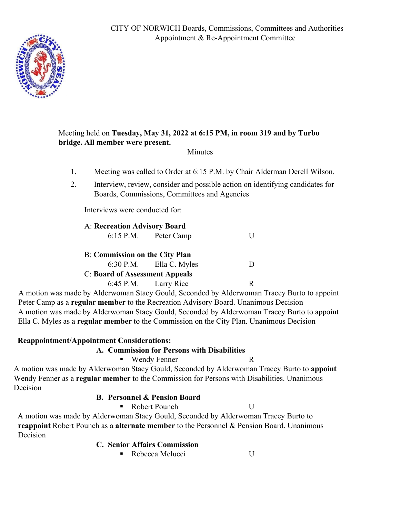CITY OF NORWICH Boards, Commissions, Committees and Authorities Appointment & Re-Appointment Committee



## Meeting held on **Tuesday, May 31, 2022 at 6:15 PM, in room 319 and by Turbo bridge. All member were present.**

### Minutes

- 1. Meeting was called to Order at 6:15 P.M. by Chair Alderman Derell Wilson.
- 2. Interview, review, consider and possible action on identifying candidates for Boards, Commissions, Committees and Agencies

Interviews were conducted for:

|                                       | A: Recreation Advisory Board |                           |  |
|---------------------------------------|------------------------------|---------------------------|--|
|                                       |                              | 6:15 P.M. Peter Camp      |  |
| <b>B:</b> Commission on the City Plan |                              |                           |  |
|                                       |                              | $6:30$ P.M. Ella C. Myles |  |
| <b>C:</b> Board of Assessment Appeals |                              |                           |  |
|                                       |                              | 6:45 P.M. Larry Rice      |  |

 A motion was made by Alderwoman Stacy Gould, Seconded by Alderwoman Tracey Burto to appoint Peter Camp as a **regular member** to the Recreation Advisory Board. Unanimous Decision A motion was made by Alderwoman Stacy Gould, Seconded by Alderwoman Tracey Burto to appoint Ella C. Myles as a **regular member** to the Commission on the City Plan. Unanimous Decision

### **Reappointment/Appointment Considerations:**

### **A. Commission for Persons with Disabilities**

- Wendy Fenner R
	-

A motion was made by Alderwoman Stacy Gould, Seconded by Alderwoman Tracey Burto to **appoint** Wendy Fenner as a **regular member** to the Commission for Persons with Disabilities. Unanimous Decision

### **B. Personnel & Pension Board**

■ Robert Pounch U

A motion was made by Alderwoman Stacy Gould, Seconded by Alderwoman Tracey Burto to **reappoint** Robert Pounch as a **alternate member** to the Personnel & Pension Board. Unanimous Decision

### **C. Senior Affairs Commission**

Rebecca Melucci U